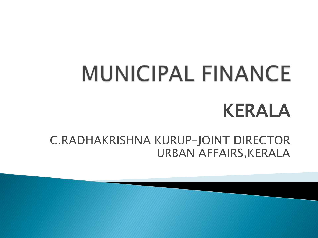# **MUNICIPAL FINANCE** KERALA

C.RADHAKRISHNA KURUP-JOINT DIRECTOR URBAN AFFAIRS,KERALA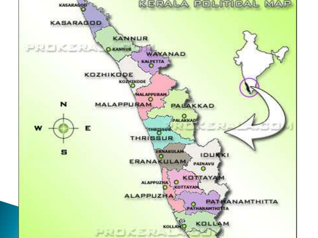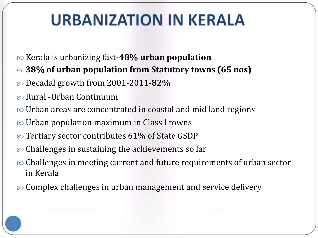#### **URBANIZATION IN KERALA**

- Kerala is urbanizing fast-**48% urban population**
- **38% of urban population from Statutory towns (65 nos)**
- Decadal growth from 2001-2011-**82%**
- Rural -Urban Continuum
- Durban areas are concentrated in coastal and mid land regions
- Urban population maximum in Class I towns
- tertiary sector contributes 61% of State GSDP
- **©** Challenges in sustaining the achievements so far
- **EV** Challenges in meeting current and future requirements of urban sector in Kerala
- $\infty$  Complex challenges in urban management and service delivery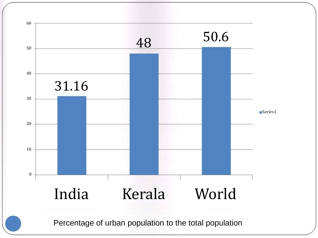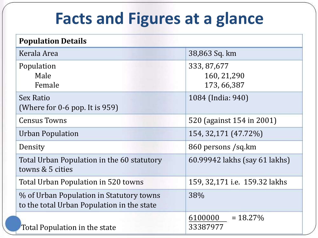#### **Facts and Figures at a glance**

| <b>Population Details</b>                                                              |                                              |
|----------------------------------------------------------------------------------------|----------------------------------------------|
| Kerala Area                                                                            | 38,863 Sq. km                                |
| Population<br>Male<br>Female                                                           | 333, 87, 677<br>160, 21, 290<br>173, 66, 387 |
| Sex Ratio<br>(Where for $0$ -6 pop. It is 959)                                         | 1084 (India: 940)                            |
| <b>Census Towns</b>                                                                    | 520 (against 154 in 2001)                    |
| Urban Population                                                                       | 154, 32, 171 (47.72%)                        |
| Density                                                                                | 860 persons /sq.km                           |
| Total Urban Population in the 60 statutory<br>towns & 5 cities                         | 60.99942 lakhs (say 61 lakhs)                |
| Total Urban Population in 520 towns                                                    | 159, 32,171 i.e. 159.32 lakhs                |
| % of Urban Population in Statutory towns<br>to the total Urban Population in the state | 38%                                          |
| Total Population in the state                                                          | 6100000<br>$= 18.27\%$<br>33387977           |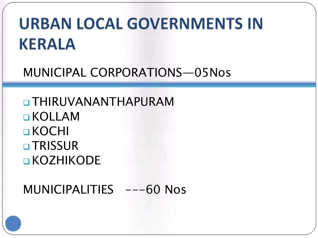#### **URBAN LOCAL GOVERNMENTS IN KERALA**

**MUNICIPAL CORPORATIONS-05Nos** 

**O THIRUVANANTHAPURAM OKOLLAM**  $\Box$  KOCHI **OTRISSUR OKOZHIKODE** 

MUNICIPALITIES ---60 Nos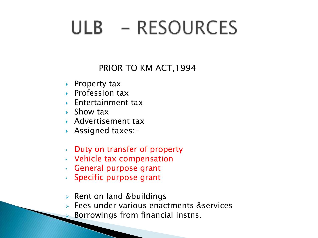## ULB - RESOURCES

PRIOR TO KM ACT,1994

- ▶ Property tax
- ▶ Profession tax
- ▶ Entertainment tax
- Show tax
- Advertisement tax
- Assigned taxes:-
- Duty on transfer of property
- Vehicle tax compensation
- General purpose grant
- Specific purpose grant
- $\triangleright$  Rent on land &buildings
- Fees under various enactments &services
	- Borrowings from financial instns.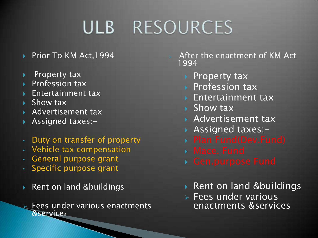## ULB RESOURCES

- ▶ Prior To KM Act, 1994
- ▶ Property tax
- Profession tax
- Entertainment tax
- $\triangleright$  Show tax
- ▶ Advertisement tax
- **Assigned taxes:-**
- Duty on transfer of property
- Vehicle tax compensation
- General purpose grant
- Specific purpose grant
- Rent on land &buildings

 Fees under various enactments &service<sup>s</sup>

 After the enactment of KM Act 1994

- ▶ Property tax
- ▶ Profession tax
- **Entertainment tax**
- ▶ Show tax
- ▶ Advertisement tax
- Assigned taxes:-
- 
- 
- 
- ▶ Rent on land &buildings
- $\triangleright$  Fees under various enactments &services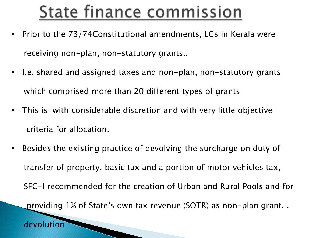## State finance commission

- Prior to the 73/74Constitutional amendments, LGs in Kerala were receiving non-plan, non-statutory grants..
- I.e. shared and assigned taxes and non-plan, non-statutory grants which comprised more than 20 different types of grants
- This is with considerable discretion and with very little objective criteria for allocation.
- Besides the existing practice of devolving the surcharge on duty of transfer of property, basic tax and a portion of motor vehicles tax, SFC-I recommended for the creation of Urban and Rural Pools and for

providing 1% of State's own tax revenue (SOTR) as non-plan grant. .

devolution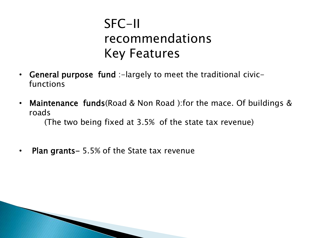#### SFC-II recommendations Key Features

- General purpose fund :-largely to meet the traditional civicfunctions
- Maintenance funds(Road & Non Road ):for the mace. Of buildings & roads

(The two being fixed at 3.5% of the state tax revenue)

• Plan grants – 5.5% of the State tax revenue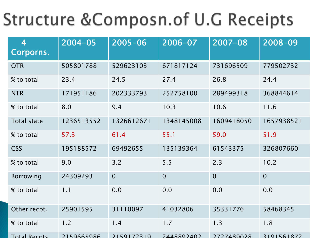#### Structure & Composn. of U.G Receipts

| $\overline{4}$<br>Corporns. | $2004 - 05$ | $2005 - 06$ | 2006-07        | 2007-08        | 2008-09        |
|-----------------------------|-------------|-------------|----------------|----------------|----------------|
| <b>OTR</b>                  | 505801788   | 529623103   | 671817124      | 731696509      | 779502732      |
| % to total                  | 23.4        | 24.5        | 27.4           | 26.8           | 24.4           |
| <b>NTR</b>                  | 171951186   | 202333793   | 252758100      | 289499318      | 368844614      |
| % to total                  | 8.0         | 9.4         | 10.3           | 10.6           | 11.6           |
| <b>Total state</b>          | 1236513552  | 1326612671  | 1348145008     | 1609418050     | 1657938521     |
| % to total                  | 57.3        | 61.4        | 55.1           | 59.0           | 51.9           |
| <b>CSS</b>                  | 195188572   | 69492655    | 135139364      | 61543375       | 326807660      |
| % to total                  | 9.0         | 3.2         | 5.5            | 2.3            | 10.2           |
| Borrowing                   | 24309293    | $\mathbf 0$ | $\overline{0}$ | $\overline{0}$ | $\overline{0}$ |
| % to total                  | 1.1         | 0.0         | 0.0            | 0.0            | 0.0            |
| Other recpt.                | 25901595    | 31110097    | 41032806       | 35331776       | 58468345       |
| % to total                  | 1.2         | 1.4         | 1.7            | 1.3            | 1.8            |
| <b>Total Recpts</b>         | 2159665986  | 2159172319  | 2448892402     | 7777489028     | 3191561872     |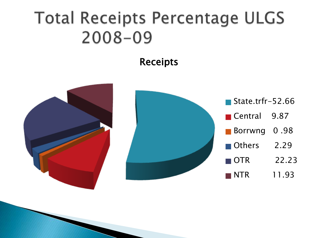#### **Total Receipts Percentage ULGS**  $2008 - 09$

#### Receipts

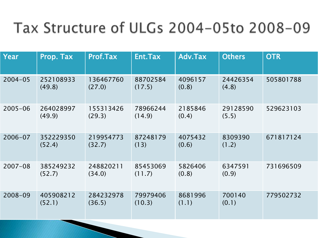#### Tax Structure of ULGs 2004-05to 2008-09

| Year        | Prop. Tax           | <b>Prof.Tax</b>     | Ent.Tax            | Adv.Tax          | <b>Others</b>     | <b>OTR</b> |
|-------------|---------------------|---------------------|--------------------|------------------|-------------------|------------|
| $2004 - 05$ | 252108933<br>(49.8) | 136467760<br>(27.0) | 88702584<br>(17.5) | 4096157<br>(0.8) | 24426354<br>(4.8) | 505801788  |
| $2005 - 06$ | 264028997<br>(49.9) | 155313426<br>(29.3) | 78966244<br>(14.9) | 2185846<br>(0.4) | 29128590<br>(5.5) | 529623103  |
| $2006 - 07$ | 352229350<br>(52.4) | 219954773<br>(32.7) | 87248179<br>(13)   | 4075432<br>(0.6) | 8309390<br>(1.2)  | 671817124  |
| $2007 - 08$ | 385249232<br>(52.7) | 248820211<br>(34.0) | 85453069<br>(11.7) | 5826406<br>(0.8) | 6347591<br>(0.9)  | 731696509  |
| 2008-09     | 405908212<br>(52.1) | 284232978<br>(36.5) | 79979406<br>(10.3) | 8681996<br>(1.1) | 700140<br>(0.1)   | 779502732  |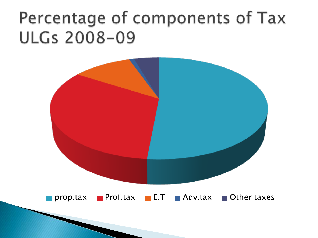#### Percentage of components of Tax **ULGs 2008-09**

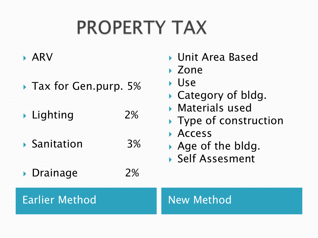## **PROPERTY TAX**

#### ARV

- **Tax for Gen.purp. 5%**
- ▶ Lighting 2%
- Sanitation 3%
- **Drainage** 2%
- Unit Area Based
- Zone
- Use
- ▶ Category of bldg.
- Materials used
- ▶ Type of construction
- **Access**
- Age of the bldg.
- Self Assesment

#### Earlier Method New Method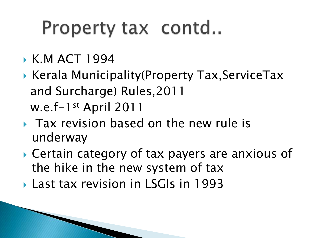## Property tax contd..

- K.M ACT 1994
- ▶ Kerala Municipality(Property Tax, ServiceTax and Surcharge) Rules,2011 w.e.f-1st April 2011
- **Tax revision based on the new rule is** underway
- ▶ Certain category of tax payers are anxious of the hike in the new system of tax
- Last tax revision in LSGIs in 1993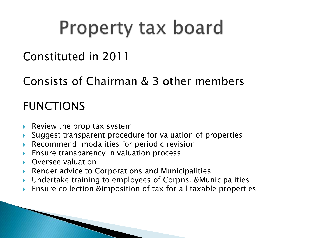## Property tax board

#### Constituted in 2011

#### Consists of Chairman & 3 other members

#### FUNCTIONS

- Review the prop tax system
- Suggest transparent procedure for valuation of properties
- Recommend modalities for periodic revision
- **Ensure transparency in valuation process**
- Oversee valuation
- ▶ Render advice to Corporations and Municipalities
- Undertake training to employees of Corpns. &Municipalities
- Ensure collection &imposition of tax for all taxable properties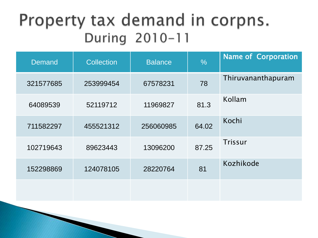#### Property tax demand in corpns. During 2010-11

| <b>Demand</b> | <b>Collection</b> | <b>Balance</b> | $\frac{0}{0}$ | <b>Name of Corporation</b> |
|---------------|-------------------|----------------|---------------|----------------------------|
| 321577685     | 253999454         | 67578231       | 78            | Thiruvananthapuram         |
| 64089539      | 52119712          | 11969827       | 81.3          | Kollam                     |
| 711582297     | 455521312         | 256060985      | 64.02         | Kochi                      |
| 102719643     | 89623443          | 13096200       | 87.25         | Trissur                    |
| 152298869     | 124078105         | 28220764       | 81            | Kozhikode                  |
|               |                   |                |               |                            |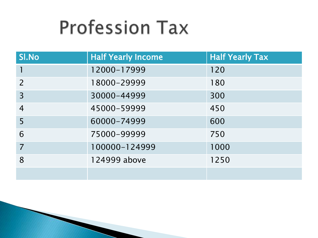## **Profession Tax**

| SI.No                    | <b>Half Yearly Income</b> | <b>Half Yearly Tax</b> |
|--------------------------|---------------------------|------------------------|
|                          | 12000-17999               | 120                    |
| $\overline{\phantom{0}}$ | 18000-29999               | 180                    |
| 3                        | 30000-44999               | 300                    |
| $\overline{4}$           | 45000-59999               | 450                    |
| 5                        | 60000-74999               | 600                    |
| 6                        | 75000-99999               | 750                    |
|                          | 100000-124999             | 1000                   |
| 8                        | 124999 above              | 1250                   |
|                          |                           |                        |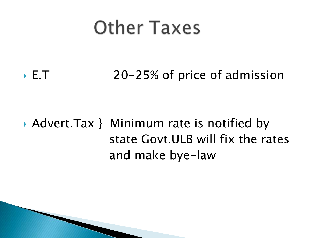## **Other Taxes**

#### ► E.T 20-25% of price of admission

#### Advert.Tax } Minimum rate is notified by state Govt.ULB will fix the rates and make bye-law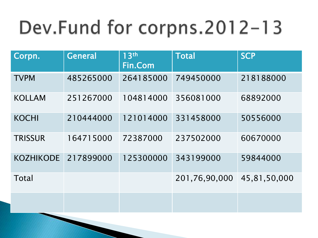## Dev.Fund for corpns.2012-13

| Corpn.           | <b>General</b> | 13 <sup>th</sup><br>Fin.Com | <b>Total</b>  | <b>SCP</b>   |
|------------------|----------------|-----------------------------|---------------|--------------|
| <b>TVPM</b>      | 485265000      | 264185000                   | 749450000     | 218188000    |
| <b>KOLLAM</b>    | 251267000      | 104814000                   | 356081000     | 68892000     |
| <b>KOCHI</b>     | 210444000      | 121014000                   | 331458000     | 50556000     |
| <b>TRISSUR</b>   | 164715000      | 72387000                    | 237502000     | 60670000     |
| <b>KOZHIKODE</b> | 217899000      | 125300000                   | 343199000     | 59844000     |
| Total            |                |                             | 201,76,90,000 | 45,81,50,000 |
|                  |                |                             |               |              |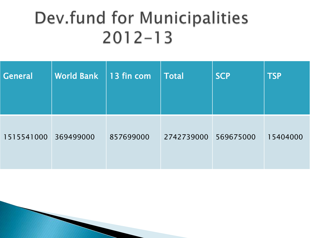#### Dev.fund for Municipalities  $2012 - 13$

| <b>General</b> | <b>World Bank</b> | $\vert$ 13 fin com | <b>Total</b> | <b>SCP</b> | <b>TSP</b> |
|----------------|-------------------|--------------------|--------------|------------|------------|
| 1515541000     | 369499000         | 857699000          | 2742739000   | 569675000  | 15404000   |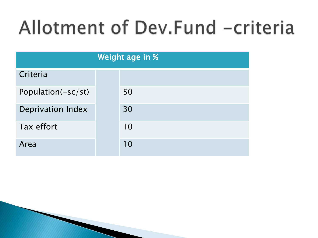## Allotment of Dev.Fund -criteria

| Weight age in %          |  |    |  |  |
|--------------------------|--|----|--|--|
| Criteria                 |  |    |  |  |
| Population(-sc/st)       |  | 50 |  |  |
| <b>Deprivation Index</b> |  | 30 |  |  |
| Tax effort               |  | 10 |  |  |
| Area                     |  | 10 |  |  |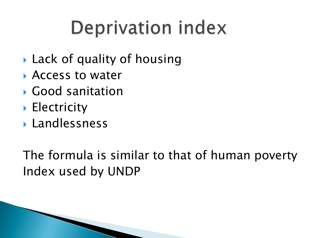## Deprivation index

- ▶ Lack of quality of housing
- Access to water
- Good sanitation
- **Electricity**
- Landlessness

The formula is similar to that of human poverty Index used by UNDP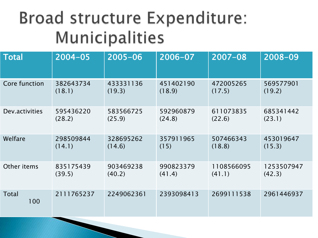#### Broad structure Expenditure: Municipalities

| <b>Total</b>        | $2004 - 05$ | $2005 - 06$ | 2006-07    | $2007 - 08$ | 2008-09    |
|---------------------|-------------|-------------|------------|-------------|------------|
| Core function       | 382643734   | 433331136   | 451402190  | 472005265   | 569577901  |
|                     | (18.1)      | (19.3)      | (18.9)     | (17.5)      | (19.2)     |
| Dev.activities      | 595436220   | 583566725   | 592960879  | 611073835   | 685341442  |
|                     | (28.2)      | (25.9)      | (24.8)     | (22.6)      | (23.1)     |
| Welfare             | 298509844   | 328695262   | 357911965  | 507466343   | 453019647  |
|                     | (14.1)      | (14.6)      | (15)       | (18.8)      | (15.3)     |
| Other items         | 835175439   | 903469238   | 990823379  | 1108566095  | 1253507947 |
|                     | (39.5)      | (40.2)      | (41.4)     | (41.1)      | (42.3)     |
| <b>Total</b><br>100 | 2111765237  | 2249062361  | 2393098413 | 2699111538  | 2961446937 |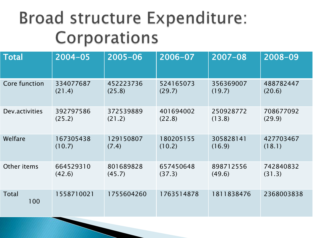#### Broad structure Expenditure: Corporations

| <b>Total</b>        | $2004 - 05$ | $2005 - 06$ | 2006-07    | $2007 - 08$ | 2008-09    |
|---------------------|-------------|-------------|------------|-------------|------------|
| Core function       | 334077687   | 452223736   | 524165073  | 356369007   | 488782447  |
|                     | (21.4)      | (25.8)      | (29.7)     | (19.7)      | (20.6)     |
| Dev.activities      | 392797586   | 372539889   | 401694002  | 250928772   | 708677092  |
|                     | (25.2)      | (21.2)      | (22.8)     | (13.8)      | (29.9)     |
| Welfare             | 167305438   | 129150807   | 180205155  | 305828141   | 427703467  |
|                     | (10.7)      | (7.4)       | (10.2)     | (16.9)      | (18.1)     |
| Other items         | 664529310   | 801689828   | 657450648  | 898712556   | 742840832  |
|                     | (42.6)      | (45.7)      | (37.3)     | (49.6)      | (31.3)     |
| <b>Total</b><br>100 | 1558710021  | 1755604260  | 1763514878 | 1811838476  | 2368003838 |